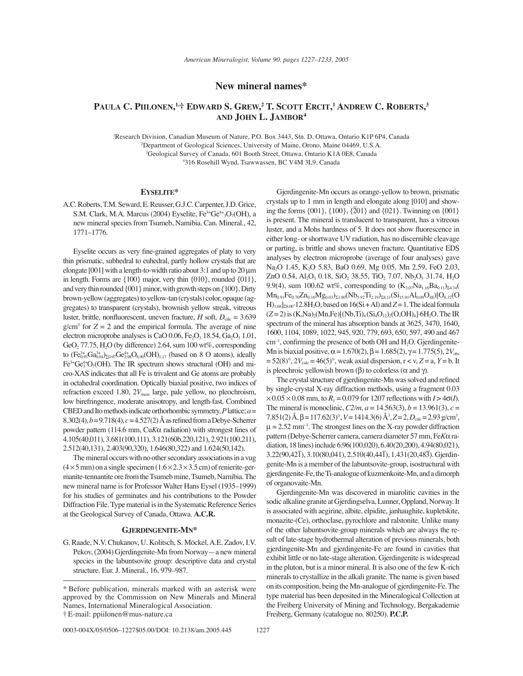# **New mineral names\***

# Paula C. Piilonen,<sup>1,</sup>† Edward S. Grew,<sup>2</sup> T. Scott Ercit,<sup>1</sup> Andrew C. Roberts,<sup>3</sup> **AND JOHN L. JAMBOR4**

 Research Division, Canadian Museum of Nature, P.O. Box 3443, Stn. D, Ottawa, Ontario K1P 6P4, Canada Department of Geological Sciences, University of Maine, Orono, Maine 04469, U.S.A. Geological Survey of Canada, 601 Booth Street, Ottawa, Ontario K1A 0E8, Canada 316 Rosehill Wynd, Tsawwassen, BC V4M 3L9, Canada

## **EYSELITE\***

A.C. Roberts, T.M. Seward, E. Reusser, G.J.C. Carpenter, J.D. Grice, S.M. Clark, M.A. Marcus (2004) Eyselite,  $Fe^{3+}Ge^{4+3}O_7(OH)$ , a new mineral species from Tsumeb, Namibia. Can. Mineral., 42, 1771-1776.

Eyselite occurs as very fine-grained aggregates of platy to very thin prismatic, subhedral to euhedral, partly hollow crystals that are elongate [001] with a length-to-width ratio about 3:1 and up to 20 μm in length. Forms are {100} major, very thin {010}, rounded {011}, and very thin rounded {001} minor, with growth steps on {100}. Dirty brown-yellow (aggregates) to yellow-tan (crystals) color, opaque (aggregates) to transparent (crystals), brownish yellow streak, vitreous luster, brittle, nonfluorescent, uneven fracture, *H* soft,  $D_{\text{calc}} = 3.639$  $g/cm<sup>3</sup>$  for  $Z = 2$  and the empirical formula. The average of nine electron microprobe analyses is CaO 0.06, Fe<sub>2</sub>O<sub>3</sub> 18.54, Ga<sub>2</sub>O<sub>3</sub> 1.01, GeO<sub>2</sub> 77.75,  $H_2O$  (by difference) 2.64, sum 100 wt%, corresponding to  $(\text{Fe}_{0.93}^{3+}\text{Ga}_{0.04}^{3+})_{\Sigma 0.97}\text{Ge}_{2.98}^{4+}\text{O}_{6.90}(\text{OH})_{1.17}$  (based on 8 O atoms), ideally  $Fe<sup>3+</sup>Ge<sub>3</sub><sup>4+</sup>O<sub>7</sub>(OH)$ . The IR spectrum shows structural (OH) and micro-XAS indicates that all Fe is trivalent and Ge atoms are probably in octahedral coordination. Optically biaxial positive, two indices of refraction exceed 1.80, 2V<sub>meas</sub> large, pale yellow, no pleochroism, low birefringence, moderate anisotropy, and length-fast. Combined CBED and Ito methods indicate orthorhombic symmetry, *P* lattice; *a* = 8.302(4),  $b = 9.718(4)$ ,  $c = 4.527(2)$  Å as refined from a Debye-Scherrer powder pattern (114.6 mm, Cu*K*α radiation) with strongest lines of 4.105(40,011), 3.681(100,111), 3.121(60b,220,121), 2.921(100,211), 2.512(40,131), 2.403(90,320), 1.646(80,322) and 1.624(50,142).

The mineral occurs with no other secondary associations in a vug  $(4 \times 5 \text{ mm})$  on a single specimen  $(1.6 \times 2.3 \times 3.5 \text{ cm})$  of renierite-germanite-tennantite ore from the Tsumeb mine, Tsumeb, Namibia. The new mineral name is for Professor Walter Hans Eysel (1935–1999) for his studies of germinates and his contributions to the Powder Diffraction File. Type material is in the Systematic Reference Series at the Geological Survey of Canada, Ottawa. **A.C.R.**

# **GJERDINGENITE-MN\***

G. Raade, N.V. Chukanov, U. Kolitsch, S. Möckel, A.E. Zadov, I.V. Pekov, (2004) Gjerdingenite-Mn from Norway — a new mineral species in the labuntsovite group: descriptive data and crystal structure. Eur. J. Mineral., 16, 979-987.

0003-004X/05/0506-1227\$05.00/DOI: 10.2138/am.2005.445 1227

Gjerdingenite-Mn occurs as orange-yellow to brown, prismatic crystals up to 1 mm in length and elongate along [010] and show- $\frac{25}{201}$  and  $\frac{201}{201}$  and  $\frac{201}{201}$  and  $\frac{201}{201}$ . Twinning on  $\{001\}$ is present. The mineral is translucent to transparent, has a vitreous luster, and a Mohs hardness of 5. It does not show fluorescence in either long- or shortwave UV radiation, has no discernible cleavage or parting, is brittle and shows uneven fracture. Quantitative EDS analyses by electron microprobe (average of four analyses) gave Na<sub>2</sub>O 1.45, K<sub>2</sub>O 5.83, BaO 0.69, Mg 0.05, Mn 2.59, FeO 2.03, ZnO 0.54,  $Al_2O_3$  0.18,  $SiO_2$  38.55, TiO<sub>2</sub> 7.07,  $Nb_2O_5$  31.74,  $H_2O$ 9.9(4), sum 100.62 wt%, corresponding to  $(K_{3.07}Na_{1.16}Ba_{0.11})_{\Sigma4.34}($  $Mn_{0.91}Fe_{0.70}Zn_{0.16}Mg_{0.03})_{\Sigma1.80}(Nb_{5.92}Ti_{2.19})_{\Sigma8.11}(Si_{15.91}Al_{0.09}O_{48})[O_{6.32}(O_{6.32}O_{48})]$  $H$ <sub>1.68</sub>]<sub> $28.00$ </sub> $12.8H$ <sub>2</sub>O, based on 16(Si + Al) and  $Z = 1$ . The ideal formula (*Z* = 2) is (*K*,Na)<sub>2</sub>(Mn,Fe)[(Nb,Ti)<sub>4</sub>(Si<sub>4</sub>O<sub>12</sub>)<sub>2</sub>(O,OH)<sub>4</sub>]⋅6H<sub>2</sub>O. The IR spectrum of the mineral has absorption bands at 3625, 3470, 1640, 1600, 1104, 1089, 1022, 945, 920, 779, 693, 650, 597, 490 and 467  $cm<sup>-1</sup>$ , confirming the presence of both OH and H<sub>2</sub>O. Gjerdingenite-Mn is biaxial positive,  $\alpha = 1.670(2)$ ,  $\beta = 1.685(2)$ ,  $\gamma = 1.775(5)$ ,  $2V_{obs}$  $= 52(8)^\circ, 2V_{\text{calc}} = 46(5)^\circ$ , weak axial dispersion,  $r < v$ ,  $Z = a$ ,  $Y = b$ . It is pleochroic yellowish brown (β) to colorless ( $\alpha$  and  $\gamma$ ).

The crystal structure of gjerdingenite-Mn was solved and refined by single-crystal X-ray diffraction methods, using a fragment 0.03  $\times$  0.05  $\times$  0.08 mm, to  $R_1$  = 0.079 for 1207 reflections with *I* > 4 $\sigma$ (*I*). The mineral is monoclinic,  $C2/m$ ,  $a = 14.563(3)$ ,  $b = 13.961(3)$ ,  $c =$ 7.851(2) Å, β = 117.62(3)°,  $V = 1414.3$ (6) Å<sup>3</sup>, Z = 2, D<sub>calc</sub> = 2.93 g/cm<sup>3</sup>,  $\mu = 2.52$  mm<sup>-1</sup>. The strongest lines on the X-ray powder diffraction pattern (Debye-Scherrer camera, camera diameter 57 mm, Fe*K*α radiation, 18 lines) include 6.96(100,020), 6.40(20,200), 4.94(80,021), 3.22(90,42ñ 1), 3.10(80,041), 2.510(40,44ñ 1), 1.431(20,48ñ 3). Gjerdingenite-Mn is a member of the labuntsovite-group, isostructural with gjerdingenite-Fe, the Ti-analogue of kuzmenkoite-Mn, and a dimorph of organovaite-Mn.

Gjerdingenite-Mn was discovered in miarolitic cavities in the sodic alkaline granite at Gjerdingselva, Lunner, Oppland, Norway. It is associated with aegirine, albite, elpidite, janhaughite, kupletskite, monazite-(Ce), orthoclase, pyrochlore and ralstonite. Unlike many of the other labuntsovite-group minerals which are always the result of late-stage hydrothermal alteration of previous minerals, both gjerdingenite-Mn and gjerdingenite-Fe are found in cavities that exhibit little or no late-stage alteration. Gjerdingenite is widespread in the pluton, but is a minor mineral. It is also one of the few K-rich minerals to crystallize in the alkali granite. The name is given based on its composition, being the Mn-analogue of gjerdingenite-Fe. The type material has been deposited in the Mineralogical Collection at the Freiberg University of Mining and Technology, Bergakademie Freiberg, Germany (catalogue no. 80250). **P.C.P.**

<sup>\*</sup> Before publication, minerals marked with an asterisk were approved by the Commission on New Minerals and Mineral Names, International Mineralogical Association. ÜE-mail: ppiilonen@mus-nature.ca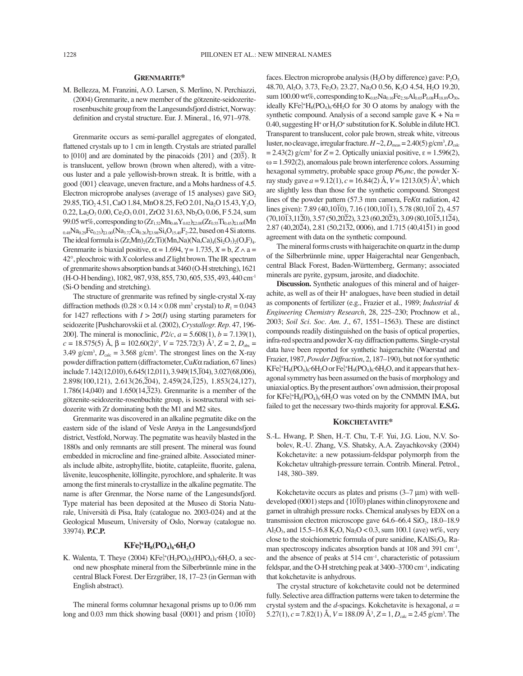# **GRENMARITE\***

M. Bellezza, M. Franzini, A.O. Larsen, S. Merlino, N. Perchiazzi, (2004) Grenmarite, a new member of the götzenite-seidozeriterosenbuschite group from the Langesundsfjord district, Norway: definition and crystal structure. Eur. J. Mineral., 16, 971–978.

Grenmarite occurs as semi-parallel aggregates of elongated, flattened crystals up to 1 cm in length. Crystals are striated parallel to  $[010]$  and are dominated by the pinacoids  $\{201\}$  and  $\{20\}$ . It is translucent, yellow brown (brown when altered), with a vitreous luster and a pale yellowish-brown streak. It is brittle, with a good {001} cleavage, uneven fracture, and a Mohs hardness of 4.5. Electron microprobe analyses (average of 15 analyses) gave  $SiO<sub>2</sub>$ 29.85, TiO<sub>2</sub> 4.51, CaO 1.84, MnO 8.25, FeO 2.01, Na<sub>2</sub>O 15.43, Y<sub>2</sub>O<sub>3</sub>  $0.22$ , La<sub>2</sub>O<sub>3</sub> 0.00, Ce<sub>2</sub>O<sub>3</sub> 0.01, ZrO2 31.63, Nb<sub>2</sub>O<sub>5</sub> 0.06, F 5.24, sum 99.05 wt%, corresponding to  $(Zr_{1.52}Mn_{0.46}Y_{0.02})_{\Sigma2.00}(Zr_{0.55}Ti_{0.45})_{\Sigma1.00}(Mn)$  $_{0.48}Na_{0.29}Fe_{0.23}\Sigma_{1.00}(Na_{3.72}Ca_{0.26}\Sigma_{23.98}Si_4O_{15.40}F_2.22$ , based on 4 Si atoms. The ideal formula is  $(Zr, Mn)_2(Zr, Ti)(Mn,Na)(Na,Ca)_4(Si_2O_7)_2(O,F)_4$ . Grenmarite is biaxial positive,  $\alpha = 1.694$ ,  $\gamma = 1.735$ ,  $X = b$ ,  $Z \wedge a =$ 42°, pleochroic with *X* colorless and *Z* light brown. The IR spectrum of grenmarite shows absorption bands at 3460 (O-H stretching), 1621 (H-O-H bending), 1082, 987, 938, 855, 730, 605, 535, 493, 440 cm-1 (Si-O bending and stretching).

The structure of grenmarite was refined by single-crystal X-ray diffraction methods  $(0.28 \times 0.14 \times 0.08 \text{ mm}^3 \text{ crystal})$  to  $R_1 = 0.043$ for 1427 reflections with  $I > 2\sigma(I)$  using starting parameters for seidozerite [Pushcharovskii et al. (2002), *Crystallogr. Rep*. 47, 196- 200]. The mineral is monoclinic, *P*2*/c*, *a* = 5.608(1), *b* = 7.139(1), *c* = 18.575(5) Å, β = 102.60(2)°, *V* = 725.72(3) Å<sup>3</sup>, *Z* = 2, *D*<sub>obs</sub> = 3.49 g/cm<sup>3</sup>,  $D_{\text{calc}} = 3.568$  g/cm<sup>3</sup>. The strongest lines on the X-ray powder diffraction pattern (diffractometer, Cu*K*α radiation, 67 lines) include 7.142(12,010), 6.645(12,011), 3.949(15, T04), 3.027(68,006), 2.898(100,121), 2.613(26,204), 2.459(24,125), 1.853(24,127),  $1.786(14,040)$  and  $1.650(14,323)$ . Grenmarite is a member of the götzenite-seidozerite-rosenbuchite group, is isostructural with seidozerite with Zr dominating both the M1 and M2 sites.

Grenmarite was discovered in an alkaline pegmatite dike on the eastern side of the island of Vesle Arøya in the Langesundsfjord district, Vestfold, Norway. The pegmatite was heavily blasted in the 1880s and only remnants are still present. The mineral was found embedded in microcline and fine-grained albite. Associated minerals include albite, astrophyllite, biotite, catapleiite, fluorite, galena, låvenite, leucosphenite, löllingite, pyrochlore, and sphalerite. It was among the first minerals to crystallize in the alkaline pegmatite. The name is after Grenmar, the Norse name of the Langesundsfjord. Type material has been deposited at the Museo di Storia Naturale, Università di Pisa, Italy (catalogue no. 2003-024) and at the Geological Museum, University of Oslo, Norway (catalogue no. 33974). **P.C.P.**

# $KF_3^{3+}H_8(PO_4)_6·6H_2O$

K. Walenta, T. Theye (2004)  $KFe^{3+}_{3}(H_{2}PO_{4})_{2}(HPO_{4})_{4}$  6H<sub>2</sub>O, a second new phosphate mineral from the Silberbrünnle mine in the central Black Forest. Der Erzgräber, 18, 17-23 (in German with English abstract).

The mineral forms columnar hexagonal prisms up to 0.06 mm long and 0.03 mm thick showing basal {0001} and prism {10 $\overline{10}$ } faces. Electron microprobe analysis ( $H_2O$  by difference) gave:  $P_2O_5$ 48.70, Al<sub>2</sub>O<sub>3</sub> 3.73, Fe<sub>2</sub>O<sub>3</sub> 23.27, Na<sub>2</sub>O 0.56, K<sub>2</sub>O 4.54, H<sub>2</sub>O 19.20, sum 100.00 wt%, corresponding to  $K_{0.85}Na_{0.16}Fe_{2.58}Al_{0.65}P_{6.08}H_{18.89}O_{30}$ , ideally  $KF_{3}^{3+}H_{8}(PO_{4})_{6}$  6H<sub>2</sub>O for 30 O atoms by analogy with the synthetic compound. Analysis of a second sample gave  $K + Na =$  $0.40$ , suggesting H<sup>+</sup> or  $H_3O^+$  substitution for K. Soluble in dilute HCl. Transparent to translucent, color pale brown, streak white, vitreous luster, no cleavage, irregular fracture.  $H{\sim}2$ ,  $D_{\rm meas}{=}2.40(5)\,{\rm g/cm^3}, D_{\rm calc}$  $= 2.43(2)$  g/cm<sup>3</sup> for  $Z = 2$ . Optically uniaxial positive,  $\varepsilon = 1.596(2)$ ,  $\omega = 1.592(2)$ , anomalous pale brown interference colors. Assuming hexagonal symmetry, probable space group  $P6<sub>3</sub>mc$ , the powder Xray study gave *a* = 9.12(1), *c* = 16.84(2) Å, *V* = 1213.0(5) Å3 , which are slightly less than those for the synthetic compound. Strongest lines of the powder pattern (57.3 mm camera, Fe*K*α radiation, 42 lines given): 7.89 (40,10 $\overline{10}$ ), 7.16 (100,10 $\overline{11}$ ), 5.78 (80,10 $\overline{1}$ 2), 4.57  $(70,10\overline{1}3,11\overline{2}0), 3.57(50,20\overline{2}2), 3.23(60,20\overline{2}3), 3.09(80,10\overline{1}5,11\overline{2}4),$  $2.87 (40,20\overline{24}), 2.81 (50,21\overline{32}, 0006),$  and  $1.715 (40,41\overline{51})$  in good agreement with data on the synthetic compound.

The mineral forms crusts with haigerachite on quartz in the dump of the Silberbrünnle mine, upper Haigerachtal near Gengenbach, central Black Forest, Baden-Württemberg, Germany; associated minerals are pyrite, gypsum, jarosite, and diadochite.

**Discussion.** Synthetic analogues of this mineral and of haigerachite, as well as of their H<sup>+</sup> analogues, have been studied in detail as components of fertilizer (e.g., Frazier et al., 1989; *Industrial & Engineering Chemistry Research*, 28, 225–230; Prochnow et al., 2003; *Soil Sci. Soc. Am. J.*, 67, 1551–1563). These are distinct compounds readily distinguished on the basis of optical properties, infra-red spectra and powder X-ray diffraction patterns. Single-crystal data have been reported for synthetic haigerachite (Waerstad and Frazier, 1987, *Powder Diffraction*, 2, 187-190), but not for synthetic  $KF^{3+}_{3}H_8(PO_4)_6$  6H<sub>2</sub>O or Fe<sup>3+</sup>H<sub>9</sub>(PO<sub>4</sub>)<sub>6</sub> 6H<sub>2</sub>O, and it appears that hexagonal symmetry has been assumed on the basis of morphology and uniaxial optics. By the present authors' own admission, their proposal for  $KF_3^3H_8(PO_4)_6·6H_2O$  was voted on by the CNMMN IMA, but failed to get the necessary two-thirds majority for approval. **E.S.G.**

# **KOKCHETAVITE\***

S.-L. Hwang, P. Shen, H.-T. Chu, T.-F. Yui, J.G. Liou, N.V. Sobolev, R.-U. Zhang, V.S. Shatsky, A.A. Zayachkovsky (2004) Kokchetavite: a new potassium-feldspar polymorph from the Kokchetav ultrahigh-pressure terrain. Contrib. Mineral. Petrol., 148, 380-389.

Kokchetavite occurs as plates and prisms  $(3-7 \mu m)$  with welldeveloped  $(0001)$  steps and  $\{10\overline{1}0\}$  planes within clinopyroxene and garnet in ultrahigh pressure rocks. Chemical analyses by EDX on a transmission electron microscope gave  $64.6-66.4$  SiO<sub>2</sub>, 18.0–18.9 Al<sub>2</sub>O<sub>3</sub>, and 15.5–16.8 K<sub>2</sub>O, Na<sub>2</sub>O < 0.3, sum 100.1 (ave) wt%, very close to the stoichiometric formula of pure sanidine,  $KAISi<sub>3</sub>O<sub>8</sub>$ . Raman spectroscopy indicates absorption bands at  $108$  and  $391 \text{ cm}^{-1}$ , and the absence of peaks at  $514 \text{ cm}^{-1}$ , characteristic of potassium feldspar, and the O-H stretching peak at  $3400-3700$  cm<sup>-1</sup>, indicating that kokchetavite is anhydrous.

The crystal structure of kokchetavite could not be determined fully. Selective area diffraction patterns were taken to determine the crystal system and the *d*-spacings. Kokchetavite is hexagonal, *a* = 5.27(1),  $c = 7.82(1)$  Å,  $V = 188.09$  Å<sup>3</sup>,  $Z = 1$ ,  $D_{\text{calc}} = 2.45$  g/cm<sup>3</sup>. The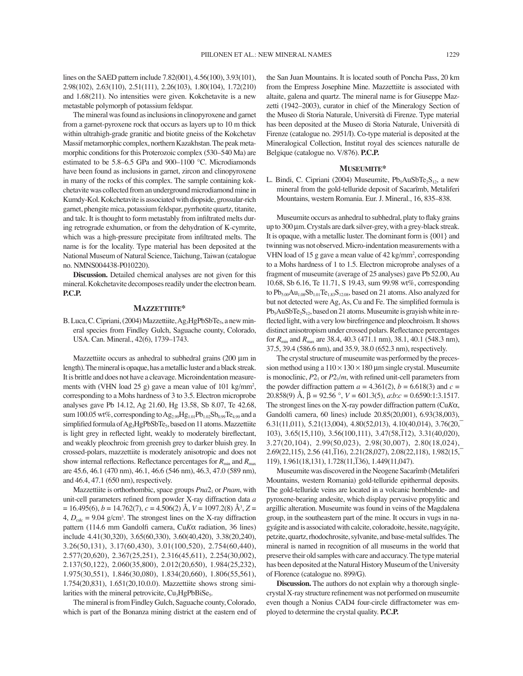lines on the SAED pattern include 7.82(001), 4.56(100), 3.93(101), 2.98(102), 2.63(110), 2.51(111), 2.26(103), 1.80(104), 1.72(210) and 1.68(211). No intensities were given. Kokchetavite is a new metastable polymorph of potassium feldspar.

The mineral was found as inclusions in clinopyroxene and garnet from a garnet-pyroxene rock that occurs as layers up to 10 m thick within ultrahigh-grade granitic and biotite gneiss of the Kokchetav Massif metamorphic complex, northern Kazakhstan. The peak metamorphic conditions for this Proterozoic complex (530–540 Ma) are estimated to be 5.8–6.5 GPa and 900–1100 °C. Microdiamonds have been found as inclusions in garnet, zircon and clinopyroxene in many of the rocks of this complex. The sample containing kokchetavite was collected from an underground microdiamond mine in Kumdy-Kol. Kokchetavite is associated with diopside, grossular-rich garnet, phengite mica, potassium feldspar, pyrrhotite quartz, titanite, and talc. It is thought to form metastably from infiltrated melts during retrograde exhumation, or from the dehydration of K-cymrite, which was a high-pressure precipitate from infiltrated melts. The name is for the locality. Type material has been deposited at the National Museum of Natural Science, Taichung, Taiwan (catalogue no. NMNS004438-P010220).

**Discussion.** Detailed chemical analyses are not given for this mineral. Kokchetavite decomposes readily under the electron beam. **P.C.P.**

### **MAZZETTIITE\***

B. Luca, C. Cipriani, (2004) Mazzettiite, Ag<sub>3</sub>HgPbSbTe<sub>5</sub>, a new mineral species from Findley Gulch, Saguache county, Colorado, USA. Can. Mineral., 42(6), 1739-1743.

Mazzettiite occurs as anhedral to subhedral grains (200 μm in length). The mineral is opaque, has a metallic luster and a black streak. It is brittle and does not have a cleavage. Microindentation measurements with (VHN load 25 g) gave a mean value of 101 kg/mm<sup>2</sup>, corresponding to a Mohs hardness of 3 to 3.5. Electron microprobe analyses gave Pb 14.12, Ag 21.60, Hg 13.58, Sb 8.07, Te 42.68, sum 100.05 wt%, corresponding to  $Ag_{2.99}Hg_{1.01}Pb_{1.02}Sb_{0.99}Te_{4.99}$  and a simplified formula of Ag<sub>3</sub>HgPbSbTe<sub>5</sub>, based on 11 atoms. Mazzettiite is light grey in reflected light, weakly to moderately bireflectant, and weakly pleochroic from greenish grey to darker bluish grey. In crossed-polars, mazzettiite is moderately anisotropic and does not show internal reflections. Reflectance percentages for  $R_{\text{min}}$  and  $R_{\text{max}}$ are 45.6, 46.1 (470 nm), 46.1, 46.6 (546 nm), 46.3, 47.0 (589 nm), and 46.4, 47.1 (650 nm), respectively.

Mazzettiite is orthorhombic, space groups  $Pna2<sub>1</sub>$  or  $Pnam$ , with unit-cell parameters refined from powder X-ray diffraction data *a* = 16.495(6), *b* = 14.762(7), *c* = 4.506(2) Å, *V* = 1097.2(8) Å3 , *Z* =  $4, D_{\text{calc}} = 9.04$  g/cm<sup>3</sup>. The strongest lines on the X-ray diffraction pattern (114.6 mm Gandolfi camera, Cu*K*α radiation, 36 lines) include 4.41(30,320), 3.65(60,330), 3.60(40,420), 3.38(20,240), 3.26(50,131), 3.17(60,430), 3.01(100,520), 2.754(60,440), 2.577(20,620), 2.367(25,251), 2.316(45,611), 2.254(30,002), 2.137(50,122), 2.060(35,800), 2.012(20,650), 1.984(25,232), 1.975(30,551), 1.846(30,080), 1.834(20,660), 1.806(55,561), 1.754(20,831), 1.651(20,10.0.0). Mazzettiite shows strong similarities with the mineral petrovicite, Cu<sub>3</sub>HgPbBiSe<sub>5</sub>.

The mineral is from Findley Gulch, Saguache county, Colorado, which is part of the Bonanza mining district at the eastern end of the San Juan Mountains. It is located south of Poncha Pass, 20 km from the Empress Josephine Mine. Mazzettiite is associated with altaite, galena and quartz. The mineral name is for Giuseppe Mazzetti (1942–2003), curator in chief of the Mineralogy Section of the Museo di Storia Naturale, Università di Firenze. Type material has been deposited at the Museo di Storia Naturale, Università di Firenze (catalogue no. 2951/I). Co-type material is deposited at the Mineralogical Collection, Institut royal des sciences naturalle de Belgique (catalogue no. V/876). **P.C.P.**

# **MUSEUMITE\***

L. Bindi, C. Cipriani (2004) Museumite,  $Pb_5AuSbTe_2S_{12}$ , a new mineral from the gold-telluride deposit of Sacarîmb, Metaliferi Mountains, western Romania. Eur. J. Mineral., 16, 835-838.

Museumite occurs as anhedral to subhedral, platy to flaky grains up to 300 μm. Crystals are dark silver-grey, with a grey-black streak. It is opaque, with a metallic luster. The dominant form is {001} and twinning was not observed. Micro-indentation measurements with a VHN load of 15 g gave a mean value of 42 kg/mm<sup>2</sup>, corresponding to a Mohs hardness of 1 to 1.5. Electron microprobe analyses of a fragment of museumite (average of 25 analyses) gave Pb 52.00, Au 10.68, Sb 6.16, Te 11.71, S 19.43, sum 99.98 wt%, corresponding to  $Pb_{5.00}Au_{1.08}Sb_{1.01}Te_{1.83}S_{12.08}$ , based on 21 atoms. Also analyzed for but not detected were Ag, As, Cu and Fe. The simplified formula is  $Pb_5AuSbTe_2S_{12}$ , based on 21 atoms. Museumite is grayish white in reflected light, with a very low birefringence and pleochroism. It shows distinct anisotropism under crossed polars. Reflectance percentages for *R*min and *R*max are 38.4, 40.3 (471.1 nm), 38.1, 40.1 (548.3 nm), 37.5, 39.4 (586.6 nm), and 35.9, 38.0 (652.3 nm), respectively.

The crystal structure of museumite was performed by the precession method using a  $110 \times 130 \times 180$  µm single crystal. Museumite is monoclinic,  $P2_1$  or  $P2_1/m$ , with refined unit-cell parameters from the powder diffraction pattern  $a = 4.361(2)$ ,  $b = 6.618(3)$  and  $c =$ 20.858(9) Å, β = 92.56 °, *V* = 601.3(5), *a*:*b*:*c* = 0.6590:1:3.1517. The strongest lines on the X-ray powder diffraction pattern (Cu*K*α, Gandolfi camera, 60 lines) include 20.85(20,001), 6.93(38,003), 6.31(11,011), 5.21(13,004), 4.80(52,013), 4.10(40,014), 3.76(20,  $103$ ),  $3.65(15,110)$ ,  $3.56(100,111)$ ,  $3.47(58,112)$ ,  $3.31(40,020)$ , 3.27(20,104), 2.99(50,023), 2.98(30,007), 2.80(18,024),  $2.69(22,115)$ , 2.56  $(41,116)$ , 2.21(28,027), 2.08(22,118), 1.982(15,  $119$ ,  $1.961(18,131)$ ,  $1.728(11,136)$ ,  $1.449(11,047)$ .

Museumite was discovered in the Neogene Sacarîmb (Metaliferi Mountains, western Romania) gold-telluride epithermal deposits. The gold-telluride veins are located in a volcanic hornblende- and pyroxene-bearing andesite, which display pervasive propylitic and argillic alteration. Museumite was found in veins of the Magdalena group, in the southeastern part of the mine. It occurs in vugs in nagyágite and is associated with calcite, coloradoite, hessite, nagyágite, petzite, quartz, rhodochrosite, sylvanite, and base-metal sulfides. The mineral is named in recognition of all museums in the world that preserve their old samples with care and accuracy. The type material has been deposited at the Natural History Museum of the University of Florence (catalogue no. 899/G).

**Discussion.** The authors do not explain why a thorough singlecrystal X-ray structure refinement was not performed on museumite even though a Nonius CAD4 four-circle diffractometer was employed to determine the crystal quality. **P.C.P.**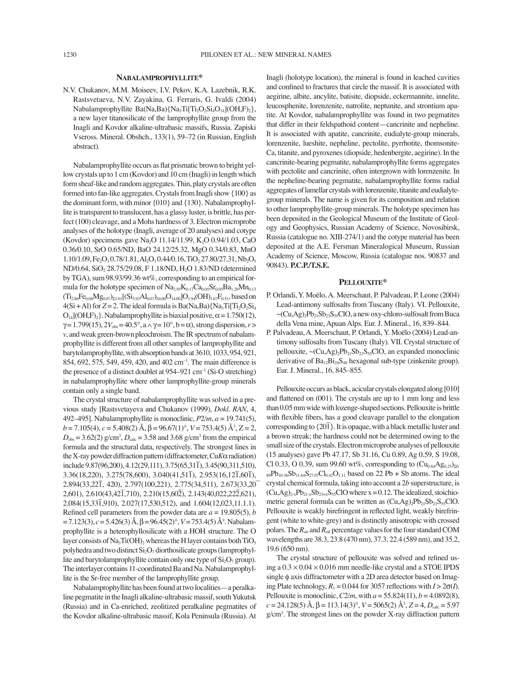#### **NABALAMPROPHYLLITE\***

N.V. Chukanov, M.M. Moiseev, I.V. Pekov, K.A. Lazebnik, R.K. Rastsvetaeva, N.V. Zayakina, G. Ferraris, G. Ivaldi (2004) Nabalamprophyllite Ba(Na,Ba){Na<sub>3</sub>Ti[Ti<sub>2</sub>O<sub>2</sub>Si<sub>4</sub>O<sub>14</sub>](OH,F)<sub>2</sub>}, a new layer titanosilicate of the lamprophyllite group from the Inagli and Kovdor alkaline-ultrabasic massifs, Russia. Zapiski Vseross. Mineral. Obshch., 133(1), 59-72 (in Russian, English abstract).

Nabalamprophyllite occurs as flat prismatic brown to bright yellow crystals up to 1 cm (Kovdor) and 10 cm (Inagli) in length which form sheaf-like and random aggregates. Thin, platy crystals are often formed into fan-like aggregates. Crystals from Inagli show {100} as the dominant form, with minor {010} and {130}. Nabalamprophyllite is transparent to translucent, has a glassy luster, is brittle, has perfect (100) cleavage, and a Mohs hardness of 3. Electron microprobe analyses of the holotype (Inagli, average of 20 analyses) and cotype (Kovdor) specimens gave Na<sub>2</sub>O 11.14/11.99, K<sub>2</sub>O 0.94/1.03, CaO 0.36/0.10, SrO 0.65/ND, BaO 24.12/25.32, MgO 0.34/0.83, MnO  $1.10/1.09$ , Fe<sub>2</sub>O<sub>3</sub> 0.78/1.81, Al<sub>2</sub>O<sub>3</sub> 0.44/0.16, TiO<sub>2</sub> 27.80/27.31, Nb<sub>2</sub>O<sub>5</sub> ND/0.64, SiO<sub>2</sub> 28.75/29.08, F 1.18/ND, H<sub>2</sub>O 1.83/ND (determined by TGA), sum 98.93/99.36 wt%, corresponding to an empirical formula for the holotype specimen of  $Na<sub>2.95</sub>K<sub>0.17</sub>Ca<sub>0.05</sub>Sr<sub>0.05</sub>Ba<sub>1.29</sub>Mn<sub>0.13</sub>$  $(T_{12,86}Fe_{0.08}Mg_{0.07})_{\Sigma3.01}[(Si_{3,93}Al_{0.07})_{\text{S4,00}}O_{14,00}]O_{1,94}(OH)_{1.67}F_{0.51}$ , based on  $4(Si + Al)$  for  $Z = 2$ . The ideal formula is Ba(Na,Ba) $\{Na<sub>3</sub>Ti[Ti<sub>2</sub>O<sub>2</sub>Si<sub>4</sub>\}$  $O_{14}$ [(OH,F)<sub>2</sub>}. Nabalamprophyllite is biaxial positive,  $\alpha$  = 1.750(12),  $\gamma = 1.799(15)$ ,  $2V_{obs} = 40.5^{\circ}$ ,  $a \wedge \gamma = 10^{\circ}$ ,  $b = \alpha$ ), strong dispersion,  $r >$ *v*, and weak green-brown pleochroism. The IR spectrum of nabalamprophyllite is different from all other samples of lamprophyllite and barytolamprophyllite, with absorption bands at 3610, 1033, 954, 921, 854, 692, 575, 549, 459, 420, and 402 cm<sup>-1</sup>. The main difference is the presence of a distinct doublet at  $954-921$  cm<sup>-1</sup> (Si-O stretching) in nabalamprophyllite where other lamprophyllite-group minerals contain only a single band.

The crystal structure of nabalamprophyllite was solved in a previous study [Rastsvetayeva and Chukanov (1999), *Dokl. RAN*, 4, 492–495]. Nabalamprophyllite is monoclinic,  $P2/m$ ,  $a = 19.741(5)$ ,  $b = 7.105(4)$ ,  $c = 5.408(2)$   $\text{\AA}$ ,  $\beta = 96.67(1)$ °,  $V = 753.4(5)$   $\text{\AA}^3$ ,  $Z = 2$ ,  $D_{obs} = 3.62(2)$  g/cm<sup>3</sup>,  $D_{calc} = 3.58$  and 3.68 g/cm<sup>3</sup> from the empirical formula and the structural data, respectively. The strongest lines in the X-ray powder diffraction pattern (diffractometer, Cu*K*α radiation) include 9.87(96,200), 4.12(29,111), 3.75(65,31 $\overline{1}$ ), 3.45(90,311,510),  $3.36(18,220), 3.275(78,600), 3.040(41,51\bar{1}), 2.953(16,12\bar{1},60\bar{1}),$  $2.894(33,22\overline{1}, 420)$ , 2.797(100,221), 2.775(34,511), 2.673(33,20<sup>†</sup>  $2,601$ ,  $2.610(43,42\overline{1},710)$ ,  $2.210(15,60\overline{2})$ ,  $2.143(40,022,22\overline{2},621)$ ,  $2,084(15,33\overline{1},910)$ ,  $2.027(17,530,512)$ , and  $1.604(12,023,11.1.1)$ . Refined cell parameters from the powder data are  $a = 19.805(5)$ , *b*  $= 7.123(3), c = 5.426(3)$  Å, β = 96.45(2)°, *V* = 753.4(5) Å<sup>3</sup>. Nabalamprophyllite is a heterophyllosilicate with a HOH structure. The O layer consists of Na<sub>3</sub>Ti(OH)<sub>2</sub> whereas the H layer contains both TiO<sub>5</sub> polyhedra and two distinct  $Si<sub>2</sub>O<sub>7</sub>$  diorthosilicate groups (lamprophyllite and barytolamprophyllite contain only one type of  $Si<sub>2</sub>O<sub>7</sub>$  group). The interlayer contains 11-coordinated Ba and Na. Nabalamprophyllite is the Sr-free member of the lamprophyllite group.

Nabalamprophyllite has been found at two localities - a peralkaline pegmatite in the Inagli alkaline-ultrabasic massif, south Yukutsk (Russia) and in Ca-enriched, zeolitized peralkaline pegmatites of the Kovdor alkaline-ultrabasic massif, Kola Peninsula (Russia). At Inagli (holotype location), the mineral is found in leached cavities and confined to fractures that circle the massif. It is associated with aegirine, albite, ancylite, batisite, diopside, eckermannite, innelite, leucosphenite, lorenzenite, natrolite, neptunite, and strontium apatite. At Kovdor, nabalamprophyllite was found in two pegmatites that differ in their feldspathoid content—cancrinite and nepheline. It is associated with apatite, cancrinite, eudialyte-group minerals, lorenzenite, lueshite, nepheline, pectolite, pyrrhotite, thomsonite-Ca, titanite, and pyroxenes (diopside, hedenbergite, aegirine). In the cancrinite-bearing pegmatite, nabalamprophyllite forms aggregates with pectolite and cancrinite, often intergrown with lorenzenite. In the nepheline-bearing pegmatite, nabalamprophyllite forms radial aggregates of lamellar crystals with lorenzenite, titanite and eudialytegroup minerals. The name is given for its composition and relation to other lamprophyllite-group minerals. The holotype specimen has been deposited in the Geological Museum of the Institute of Geology and Geophysics, Russian Academy of Science, Novosibirsk, Russia (catalogue no. XIII-274/1) and the cotype material has been deposited at the A.E. Fersman Mineralogical Museum, Russian Academy of Science, Moscow, Russia (catalogue nos. 90837 and 90843). **P.C.P./T.S.E.**

## **PELLOUXITE\***

- P. Orlandi, Y. Moëlo, A. Meerschaut, P. Palvadeau, P. Leone (2004) Lead-antimony sulfosalts from Tuscany (Italy). VI. Pellouxite,  $\sim$ (Cu,Ag)<sub>2</sub>Pb<sub>21</sub>Sb<sub>23</sub>S<sub>55</sub>ClO, a new oxy-chloro-sulfosalt from Buca della Vena mine, Apuan Alps. Eur. J. Mineral., 16, 839-844.
- P. Palvadeau, A. Meerschaut, P. Orlandi, Y. Moëlo (2004) Lead-antimony sulfosalts from Tuscany (Italy). VII. Crystal structure of pellouxite,  $\sim$ (Cu,Ag)<sub>2</sub>Pb<sub>21</sub>Sb<sub>23</sub>S<sub>55</sub>ClO, an expanded monoclinic derivative of  $Ba_{12}Bi_{24}S_{48}$  hexagonal sub-type (zinkenite group). Eur. J. Mineral., 16, 845-855.

Pellouxite occurs as black, acicular crystals elongated along [010] and flattened on  $(001)$ . The crystals are up to 1 mm long and less than 0.05 mm wide with lozenge-shaped sections. Pellouxite is brittle with flexible fibers, has a good cleavage parallel to the elongation corresponding to  $\{20\}$ . It is opaque, with a black metallic luster and a brown streak; the hardness could not be determined owing to the small size of the crystals. Electron microprobe analyses of pellouxite (15 analyses) gave Pb 47.17, Sb 31.16, Cu 0.89, Ag 0.59, S 19.08, Cl 0.33, O 0.39, sum 99.60 wt%, corresponding to  $(Cu_{0.64}Ag_{0.25})_{20}$ .  $89Pb_{10.36}Sb_{11.64}S_{27.07}Cl_{0.42}O_{1.11}$  based on 22 Pb + Sb atoms. The ideal crystal chemical formula, taking into account a 2*b* superstructure, is  $(Cu, Ag)_{2-x}Pb_{21-x}Sb_{23+x}S_{55}CIO$  where x = 0.12. The idealized, stoichiometric general formula can be written as  $(Cu, Ag)_2Pb_{21}Sb_{23}S_{55}CIO$ . Pellouxite is weakly birefringent in reflected light, weakly birefringent (white to white-grey) and is distinctly anisotropic with crossed polars. The  $R_{\text{air}}$  and  $R_{\text{oil}}$  percentage values for the four standard COM wavelengths are 38.3, 23.8 (470 nm), 37.3, 22.4 (589 nm), and 35.2, 19.6 (650 nm).

The crystal structure of pellouxite was solved and refined using a  $0.3 \times 0.04 \times 0.016$  mm needle-like crystal and a STOE IPDS single φ axis diffractometer with a 2D area detector based on Imaging Plate technology,  $R_1 = 0.044$  for 3057 reflections with  $I > 2\sigma(I)$ . Pellouxite is monoclinic, *C*2/*m*, with *a* = 55.824(11), *b* = 4.0892(8),  $c = 24.128(5)$  Å,  $\beta = 113.14(3)^\circ$ ,  $V = 5065(2)$  Å<sup>3</sup>,  $Z = 4$ ,  $D_{\text{calc}} = 5.97$ g/cm3 . The strongest lines on the powder X-ray diffraction pattern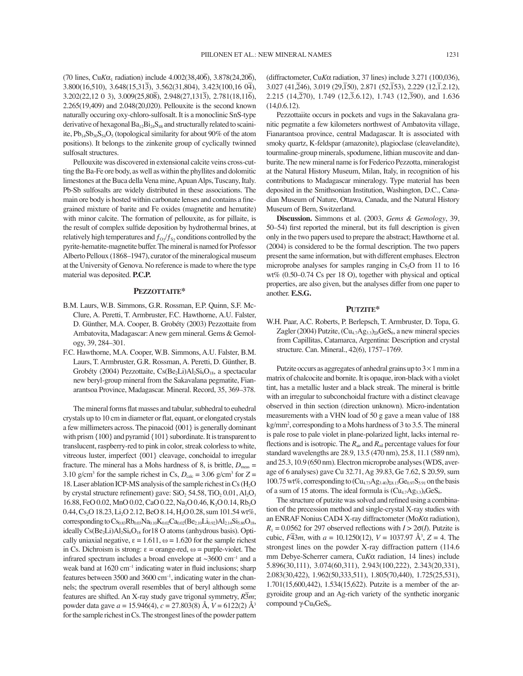$(70 \text{ lines}, \text{Cu} \cdot \text{K} \alpha_1 \text{ radiation})$  include  $4.002(38, 40\overline{6}), 3.878(24, 20\overline{6}),$  $3.800(16,510)$ ,  $3.648(15,31\overline{3})$ ,  $3.562(31,804)$ ,  $3.423(100,16\overline{04})$ ,  $3.202(22,12\ 0\ 3)$ ,  $3.009(25,80\overline{8})$ ,  $2.948(27,131\overline{3})$ ,  $2.781(18,11\overline{6})$ , 2.265(19,409) and 2.048(20,020). Pellouxite is the second known naturally occuring oxy-chloro-sulfosalt. It is a monoclinic SnS-type derivative of hexagonal  $Ba_{12}Bi_{24}S_{48}$  and structurally related to scainiite,  $Pb_{14}Sb_{30}S_{54}O_5$  (topological similarity for about 90% of the atom positions). It belongs to the zinkenite group of cyclically twinned sulfosalt structures.

Pellouxite was discovered in extensional calcite veins cross-cutting the Ba-Fe ore body, as well as within the phyllites and dolomitic limestones at the Buca della Vena mine, Apuan Alps, Tuscany, Italy. Pb-Sb sulfosalts are widely distributed in these associations. The main ore body is hosted within carbonate lenses and contains a finegrained mixture of barite and Fe oxides (magnetite and hematite) with minor calcite. The formation of pellouxite, as for pillaite, is the result of complex sulfide deposition by hydrothermal brines, at relatively high temperatures and  $f_{O_2}/f_{S_2}$  conditions controlled by the pyrite-hematite-magnetite buffer. The mineral is named for Professor Alberto Pelloux (1868–1947), curator of the mineralogical museum at the University of Genova. No reference is made to where the type material was deposited. **P.C.P.**

#### **PEZZOTTAITE\***

- B.M. Laurs, W.B. Simmons, G.R. Rossman, E.P. Quinn, S.F. Mc-Clure, A. Peretti, T. Armbruster, F.C. Hawthorne, A.U. Falster, D. Günther, M.A. Cooper, B. Grobéty (2003) Pezzottaite from Ambatovita, Madagascar: A new gem mineral. Gems & Gemology, 39, 284-301.
- F.C. Hawthorne, M.A. Cooper, W.B. Simmons, A.U. Falster, B.M. Laurs, T. Armbruster, G.R. Rossman, A. Peretti, D. Günther, B. Grobéty (2004) Pezzottaite,  $Cs(Be_2Li)Al_2Si_6O_{18}$ , a spectacular new beryl-group mineral from the Sakavalana pegmatite, Fianarantsoa Province, Madagascar. Mineral. Record, 35, 369-378.

The mineral forms flat masses and tabular, subhedral to euhedral crystals up to 10 cm in diameter or flat, equant, or elongated crystals a few millimeters across. The pinacoid {001} is generally dominant with prism {100} and pyramid {101} subordinate. It is transparent to translucent, raspberry-red to pink in color, streak colorless to white, vitreous luster, imperfect {001} cleavage, conchoidal to irregular fracture. The mineral has a Mohs hardness of 8, is brittle,  $D_{\text{meas}} =$ 3.10 g/cm<sup>3</sup> for the sample richest in Cs,  $D_{\text{calc}} = 3.06$  g/cm<sup>3</sup> for  $Z =$ 18. Laser ablation ICP-MS analysis of the sample richest in Cs  $(H_2O)$ by crystal structure refinement) gave:  $SiO<sub>2</sub> 54.58$ ,  $TiO<sub>2</sub> 0.01$ ,  $Al<sub>2</sub>O<sub>3</sub>$ 16.88, FeO 0.02, MnO 0.02, CaO 0.22, Na<sub>2</sub>O 0.46, K<sub>2</sub>O 0.14, Rb<sub>2</sub>O 0.44, Cs<sub>2</sub>O 18.23, Li<sub>2</sub>O 2.12, BeO 8.14, H<sub>2</sub>O 0.28, sum 101.54 wt%, corresponding to  $Cs_{0.83}Rb_{0.03}Na_{0.10}K_{0.02}Ca_{0.02}(Be_{2.10}Li_{0.92})Al_{2.14}Si_{5.86}O_{18}$ , ideally  $Cs(Be<sub>2</sub>Li)Al<sub>2</sub>Si<sub>6</sub>O<sub>18</sub>$  for 18 O atoms (anhydrous basis). Optically uniaxial negative,  $\varepsilon = 1.611$ ,  $\omega = 1.620$  for the sample richest in Cs. Dichroism is strong: ε = orange-red, ω = purple-violet. The infrared spectrum includes a broad envelope at  $\sim$ 3600 cm<sup>-1</sup> and a weak band at 1620 cm<sup>-1</sup> indicating water in fluid inclusions; sharp features between 3500 and 3600 cm $^{-1}$ , indicating water in the channels; the spectrum overall resembles that of beryl although some features are shifted. An X-ray study gave trigonal symmetry, *R*<sup>ñ</sup> 3*m*; powder data gave *a* = 15.946(4), *c* = 27.803(8) Å, *V* = 6122(2) Å3 for the sample richest in Cs. The strongest lines of the powder pattern

(diffractometer, Cu*K*α radiation, 37 lines) include 3.271 (100,036), 3.027 (41,ñ 246), 3.019 (29,ñ 150), 2.871 (52,ñ 153), 2.229 (12,ñ 1.2.12), 2.215 (14, $\overline{270}$ ), 1.749 (12, $\overline{3}$ .6.12), 1.743 (12, $\overline{390}$ ), and 1.636 (14,0.6.12).

Pezzottaiite occurs in pockets and vugs in the Sakavalana granitic pegmatite a few kilometers northwest of Ambatovita village, Fianarantsoa province, central Madagascar. It is associated with smoky quartz, K-feldspar (amazonite), plagioclase (cleavelandite), tourmaline-group minerals, spodumene, lithian muscovite and danburite. The new mineral name is for Federico Pezzotta, mineralogist at the Natural History Museum, Milan, Italy, in recognition of his contributions to Madagascar mineralogy. Type material has been deposited in the Smithsonian Institution, Washington, D.C., Canadian Museum of Nature, Ottawa, Canada, and the Natural History Museum of Bern, Switzerland.

**Discussion.** Simmons et al. (2003, *Gems & Gemology*, 39, 50–54) first reported the mineral, but its full description is given only in the two papers used to prepare the abstract; Hawthorne et al. (2004) is considered to be the formal description. The two papers present the same information, but with different emphases. Electron microprobe analyses for samples ranging in  $Cs<sub>2</sub>O$  from 11 to 16  $wt\%$  (0.50–0.74 Cs per 18 O), together with physical and optical properties, are also given, but the analyses differ from one paper to another. **E.S.G.**

### **PUTZITE\***

W.H. Paar, A.C. Roberts, P. Berlepsch, T. Armbruster, D. Topa, G. Zagler (2004) Putzite,  $(Cu_{4.7}Ag_{3.3})_{28}GeS_6$ , a new mineral species from Capillitas, Catamarca, Argentina: Description and crystal structure. Can. Mineral., 42(6), 1757-1769.

Putzite occurs as aggregates of anhedral grains up to  $3 \times 1$  mm in a matrix of chalcocite and bornite. It is opaque, iron-black with a violet tint, has a metallic luster and a black streak. The mineral is brittle with an irregular to subconchoidal fracture with a distinct cleavage observed in thin section (direction unknown). Micro-indentation measurements with a VHN load of 50 g gave a mean value of 188 kg/mm2 , corresponding to a Mohs hardness of 3 to 3.5. The mineral is pale rose to pale violet in plane-polarized light, lacks internal reflections and is isotropic. The  $R_{\text{air}}$  and  $R_{\text{oil}}$  percentage values for four standard wavelengths are 28.9, 13.5 (470 nm), 25.8, 11.1 (589 nm), and 25.3, 10.9 (650 nm). Electron microprobe analyses (WDS, average of 6 analyses) gave Cu 32.71, Ag 39.83, Ge 7.62, S 20.59, sum 100.75 wt%, corresponding to  $\left(\text{Cu}_{4.73}\text{Ag}_{3.40}\right)_{\text{Z}8.13}\text{Ge}_{0.97}\text{S}_{5.91}$  on the basis of a sum of 15 atoms. The ideal formula is  $(Cu_{4.7}Ag_{3.3})_8GeS_6$ .

The structure of putzite was solved and refined using a combination of the precession method and single-crystal X-ray studies with an ENRAF Nonius CAD4 X-ray diffractometer (Mo*K*α radiation),  $R_1 = 0.0562$  for 297 observed reflections with  $I > 2\sigma(I)$ . Putzite is cubic,  $F\overline{43}m$ , with  $a = 10.1250(12)$ ,  $V = 1037.97 \text{ Å}^3$ ,  $Z = 4$ . The strongest lines on the powder X-ray diffraction pattern (114.6 mm Debye-Scherrer camera, Cu*K*α radiation, 14 lines) include 5.896(30,111), 3.074(60,311), 2.943(100,222), 2.343(20,331), 2.083(30,422), 1.962(50,333,511), 1.805(70,440), 1.725(25,531), 1.701(15,600,442), 1.534(15,622). Putzite is a member of the argyroidite group and an Ag-rich variety of the synthetic inorganic compound γ-Cu<sub>8</sub>GeS<sub>6</sub>.